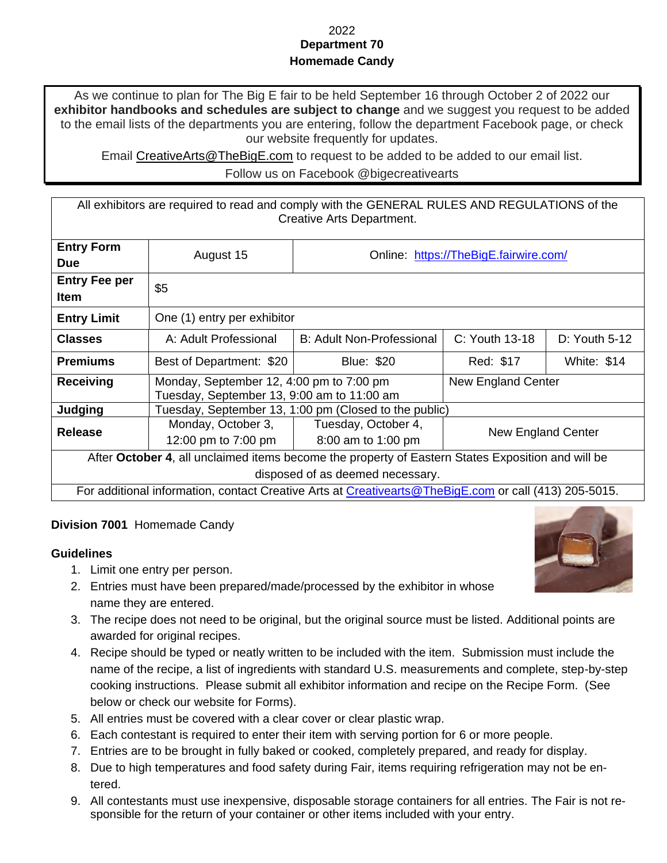#### 2022 **Department 70 Homemade Candy**

As we continue to plan for The Big E fair to be held September 16 through October 2 of 2022 our **exhibitor handbooks and schedules are subject to change** and we suggest you request to be added to the email lists of the departments you are entering, follow the department Facebook page, or check our website frequently for updates.

Email [CreativeArts@TheBigE.com](mailto:CreativeArts@TheBigE.com) to request to be added to be added to our email list.

Follow us on Facebook @bigecreativearts

All exhibitors are required to read and comply with the GENERAL RULES AND REGULATIONS of the Creative Arts Department.

| <b>Entry Form</b>                                                                                     | August 15                                             | Online: https://TheBigE.fairwire.com/ |                    |                    |  |
|-------------------------------------------------------------------------------------------------------|-------------------------------------------------------|---------------------------------------|--------------------|--------------------|--|
| <b>Due</b>                                                                                            |                                                       |                                       |                    |                    |  |
| <b>Entry Fee per</b>                                                                                  | \$5                                                   |                                       |                    |                    |  |
| <b>Item</b>                                                                                           |                                                       |                                       |                    |                    |  |
| <b>Entry Limit</b>                                                                                    | One (1) entry per exhibitor                           |                                       |                    |                    |  |
| <b>Classes</b>                                                                                        | A: Adult Professional                                 | <b>B: Adult Non-Professional</b>      | $C:$ Youth 13-18   | $D:$ Youth 5-12    |  |
| <b>Premiums</b>                                                                                       | Best of Department: \$20                              | <b>Blue: \$20</b>                     | Red: \$17          | <b>White: \$14</b> |  |
| <b>Receiving</b>                                                                                      | Monday, September 12, 4:00 pm to 7:00 pm              |                                       | New England Center |                    |  |
|                                                                                                       | Tuesday, September 13, 9:00 am to 11:00 am            |                                       |                    |                    |  |
| Judging                                                                                               | Tuesday, September 13, 1:00 pm (Closed to the public) |                                       |                    |                    |  |
| <b>Release</b>                                                                                        | Monday, October 3,                                    | Tuesday, October 4,                   | New England Center |                    |  |
|                                                                                                       | 12:00 pm to 7:00 pm                                   | 8:00 am to 1:00 pm                    |                    |                    |  |
| After October 4, all unclaimed items become the property of Eastern States Exposition and will be     |                                                       |                                       |                    |                    |  |
| disposed of as deemed necessary.                                                                      |                                                       |                                       |                    |                    |  |
| For additional information, contact Creative Arts at Creativearts@TheBigE.com or call (413) 205-5015. |                                                       |                                       |                    |                    |  |

### **Division 7001** Homemade Candy

#### **Guidelines**

- 1. Limit one entry per person.
- 2. Entries must have been prepared/made/processed by the exhibitor in whose name they are entered.
- 3. The recipe does not need to be original, but the original source must be listed. Additional points are awarded for original recipes.
- 4. Recipe should be typed or neatly written to be included with the item. Submission must include the name of the recipe, a list of ingredients with standard U.S. measurements and complete, step-by-step cooking instructions. Please submit all exhibitor information and recipe on the Recipe Form. (See below or check our website for Forms).
- 5. All entries must be covered with a clear cover or clear plastic wrap.
- 6. Each contestant is required to enter their item with serving portion for 6 or more people.
- 7. Entries are to be brought in fully baked or cooked, completely prepared, and ready for display.
- 8. Due to high temperatures and food safety during Fair, items requiring refrigeration may not be entered.
- 9. All contestants must use inexpensive, disposable storage containers for all entries. The Fair is not responsible for the return of your container or other items included with your entry.

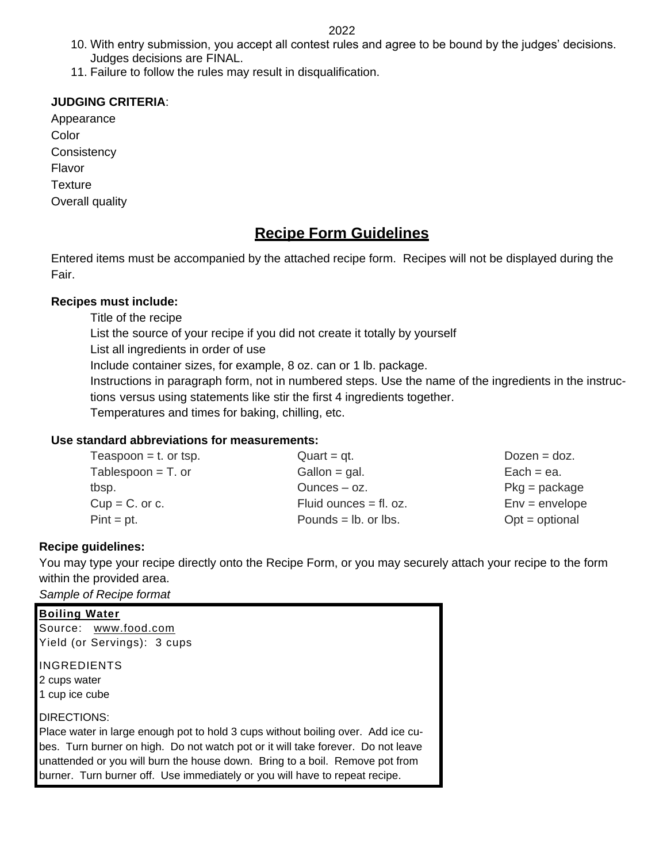2022

- 10. With entry submission, you accept all contest rules and agree to be bound by the judges' decisions. Judges decisions are FINAL.
- 11. Failure to follow the rules may result in disqualification.

## **JUDGING CRITERIA**:

Appearance **Color Consistency** Flavor **Texture** Overall quality

# **Recipe Form Guidelines**

Entered items must be accompanied by the attached recipe form. Recipes will not be displayed during the Fair.

### **Recipes must include:**

Title of the recipe

List the source of your recipe if you did not create it totally by yourself

List all ingredients in order of use

Include container sizes, for example, 8 oz. can or 1 lb. package.

Instructions in paragraph form, not in numbered steps. Use the name of the ingredients in the instructions versus using statements like stir the first 4 ingredients together.

Temperatures and times for baking, chilling, etc.

### **Use standard abbreviations for measurements:**

| Teaspoon $=$ t. or tsp. | $Quart = qt.$            | $Dozen = doz.$   |
|-------------------------|--------------------------|------------------|
| Tablespoon $=$ T. or    | Gallon = $g$ al.         | $Each = ea$ .    |
| tbsp.                   | Ounces $ oz$ .           | $Pkg = package$  |
| $Cup = C$ . or c.       | Fluid ounces $=$ fl. oz. | $Env = envelope$ |
| $Pint = pt$ .           | Pounds $=$ lb. or lbs.   | $Opt = optional$ |

### **Recipe guidelines:**

You may type your recipe directly onto the Recipe Form, or you may securely attach your recipe to the form within the provided area.

*Sample of Recipe format*

| <b>Boiling Water</b>                                                                                                                                                                                                                                                                                                                |
|-------------------------------------------------------------------------------------------------------------------------------------------------------------------------------------------------------------------------------------------------------------------------------------------------------------------------------------|
| Source: www.food.com                                                                                                                                                                                                                                                                                                                |
| Yield (or Servings): 3 cups                                                                                                                                                                                                                                                                                                         |
| IINGREDIENTS                                                                                                                                                                                                                                                                                                                        |
| 2 cups water                                                                                                                                                                                                                                                                                                                        |
| 1 cup ice cube                                                                                                                                                                                                                                                                                                                      |
| <b>IDIRECTIONS:</b>                                                                                                                                                                                                                                                                                                                 |
| Place water in large enough pot to hold 3 cups without boiling over. Add ice cu-<br>bes. Turn burner on high. Do not watch pot or it will take forever. Do not leave<br>unattended or you will burn the house down. Bring to a boil. Remove pot from<br>burner. Turn burner off. Use immediately or you will have to repeat recipe. |